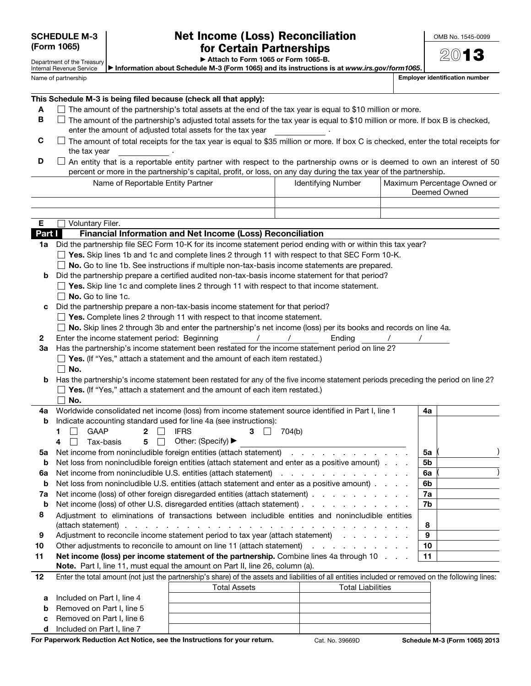Department of the Treasury

## Net Income (Loss) Reconciliation for Certain Partnerships

 $201$ 

▶ Attach to Form 1065 or Form 1065-B.

▶ Information about Schedule M-3 (Form 1065) and its instructions is at *www.irs.gov/form1065*.

Employer identification number

| Internal Revenue Service |
|--------------------------|
| Name of partnership      |

This Schedule M-3 is being filed because (check all that apply):

- $A \square$  The amount of the partnership's total assets at the end of the tax year is equal to \$10 million or more.
- $B$   $\Box$  The amount of the partnership's adjusted total assets for the tax year is equal to \$10 million or more. If box B is checked, enter the amount of adjusted total assets for the tax year .
- $C$   $\Box$  The amount of total receipts for the tax year is equal to \$35 million or more. If box C is checked, enter the total receipts for the tax year
- $\Box$  An entity that is a reportable entity partner with respect to the partnership owns or is deemed to own an interest of 50 percent or more in the partnership's capital, profit, or loss, on any day during the tax year of the partnership.

Name of Reportable Entity Partner **Interpolage Communist Communist Partner** Interpretation of Reportable Owned or

|         |                                                                                                                                                     |                                                                                                                 |                                                                                                                 |  | Deemed Owned |  |
|---------|-----------------------------------------------------------------------------------------------------------------------------------------------------|-----------------------------------------------------------------------------------------------------------------|-----------------------------------------------------------------------------------------------------------------|--|--------------|--|
|         |                                                                                                                                                     |                                                                                                                 |                                                                                                                 |  |              |  |
|         |                                                                                                                                                     |                                                                                                                 |                                                                                                                 |  |              |  |
| Е       | Voluntary Filer.                                                                                                                                    |                                                                                                                 |                                                                                                                 |  |              |  |
| Part I  |                                                                                                                                                     | Financial Information and Net Income (Loss) Reconciliation                                                      |                                                                                                                 |  |              |  |
|         | 1a Did the partnership file SEC Form 10-K for its income statement period ending with or within this tax year?                                      |                                                                                                                 |                                                                                                                 |  |              |  |
|         | $\Box$ Yes. Skip lines 1b and 1c and complete lines 2 through 11 with respect to that SEC Form 10-K.                                                |                                                                                                                 |                                                                                                                 |  |              |  |
|         |                                                                                                                                                     |                                                                                                                 | No. Go to line 1b. See instructions if multiple non-tax-basis income statements are prepared.                   |  |              |  |
| b       |                                                                                                                                                     | Did the partnership prepare a certified audited non-tax-basis income statement for that period?                 |                                                                                                                 |  |              |  |
|         | $\Box$ Yes. Skip line 1c and complete lines 2 through 11 with respect to that income statement.                                                     |                                                                                                                 |                                                                                                                 |  |              |  |
|         | No. Go to line 1c.                                                                                                                                  |                                                                                                                 |                                                                                                                 |  |              |  |
| c       |                                                                                                                                                     | Did the partnership prepare a non-tax-basis income statement for that period?                                   |                                                                                                                 |  |              |  |
|         | $\Box$ Yes. Complete lines 2 through 11 with respect to that income statement.                                                                      |                                                                                                                 |                                                                                                                 |  |              |  |
|         |                                                                                                                                                     | No. Skip lines 2 through 3b and enter the partnership's net income (loss) per its books and records on line 4a. |                                                                                                                 |  |              |  |
| 2       | Enter the income statement period: Beginning                                                                                                        | $\overline{\phantom{a}}$                                                                                        | $\sqrt{2}$<br>Ending                                                                                            |  |              |  |
| За      | Has the partnership's income statement been restated for the income statement period on line 2?                                                     |                                                                                                                 |                                                                                                                 |  |              |  |
|         | $\Box$ Yes. (If "Yes," attach a statement and the amount of each item restated.)                                                                    |                                                                                                                 |                                                                                                                 |  |              |  |
|         | $\Box$ No.                                                                                                                                          |                                                                                                                 |                                                                                                                 |  |              |  |
| b       | Has the partnership's income statement been restated for any of the five income statement periods preceding the period on line 2?                   |                                                                                                                 |                                                                                                                 |  |              |  |
|         | $\Box$ Yes. (If "Yes," attach a statement and the amount of each item restated.)                                                                    |                                                                                                                 |                                                                                                                 |  |              |  |
|         | No.                                                                                                                                                 |                                                                                                                 |                                                                                                                 |  |              |  |
| 4a      | Worldwide consolidated net income (loss) from income statement source identified in Part I, line 1                                                  |                                                                                                                 |                                                                                                                 |  | 4a           |  |
| b       | Indicate accounting standard used for line 4a (see instructions):                                                                                   |                                                                                                                 |                                                                                                                 |  |              |  |
|         | <b>GAAP</b><br>2<br>1<br>5<br>$\perp$                                                                                                               | <b>IFRS</b><br>3<br>Other: (Specify) ▶                                                                          | 704(b)                                                                                                          |  |              |  |
|         | 4<br>Tax-basis<br>Net income from nonincludible foreign entities (attach statement)                                                                 |                                                                                                                 |                                                                                                                 |  | 5a           |  |
| 5а<br>b | Net loss from nonincludible foreign entities (attach statement and enter as a positive amount).                                                     |                                                                                                                 |                                                                                                                 |  | 5b           |  |
| 6a      |                                                                                                                                                     |                                                                                                                 |                                                                                                                 |  | 6a           |  |
| b       | Net loss from nonincludible U.S. entities (attach statement and enter as a positive amount).                                                        |                                                                                                                 |                                                                                                                 |  | 6b           |  |
| 7a      | Net income (loss) of other foreign disregarded entities (attach statement)                                                                          |                                                                                                                 |                                                                                                                 |  | 7a           |  |
| b       | Net income (loss) of other U.S. disregarded entities (attach statement)                                                                             |                                                                                                                 |                                                                                                                 |  | 7b           |  |
| 8       | Adjustment to eliminations of transactions between includible entities and nonincludible entities                                                   |                                                                                                                 |                                                                                                                 |  |              |  |
|         |                                                                                                                                                     |                                                                                                                 | the contract of the contract of the contract of the contract of the contract of the contract of the contract of |  | 8            |  |
| 9       | Adjustment to reconcile income statement period to tax year (attach statement)                                                                      |                                                                                                                 |                                                                                                                 |  | 9            |  |
| 10      | Other adjustments to reconcile to amount on line 11 (attach statement)                                                                              |                                                                                                                 | the contract of the contract of the                                                                             |  | 10           |  |
| 11      | Net income (loss) per income statement of the partnership. Combine lines 4a through 10                                                              |                                                                                                                 |                                                                                                                 |  | 11           |  |
|         | Note. Part I, line 11, must equal the amount on Part II, line 26, column (a).                                                                       |                                                                                                                 |                                                                                                                 |  |              |  |
| 12      | Enter the total amount (not just the partnership's share) of the assets and liabilities of all entities included or removed on the following lines: |                                                                                                                 |                                                                                                                 |  |              |  |
|         |                                                                                                                                                     | <b>Total Assets</b>                                                                                             | <b>Total Liabilities</b>                                                                                        |  |              |  |
| a       | Included on Part I, line 4                                                                                                                          |                                                                                                                 |                                                                                                                 |  |              |  |

| C. | Removed on Part I, line 6  |  |
|----|----------------------------|--|
|    | Included on Part I, line 7 |  |

**b** Removed on Part I, line 5

For Paperwork Reduction Act Notice, see the Instructions for your return. Cat. No. 39669D Schedule M-3 (Form 1065) 2013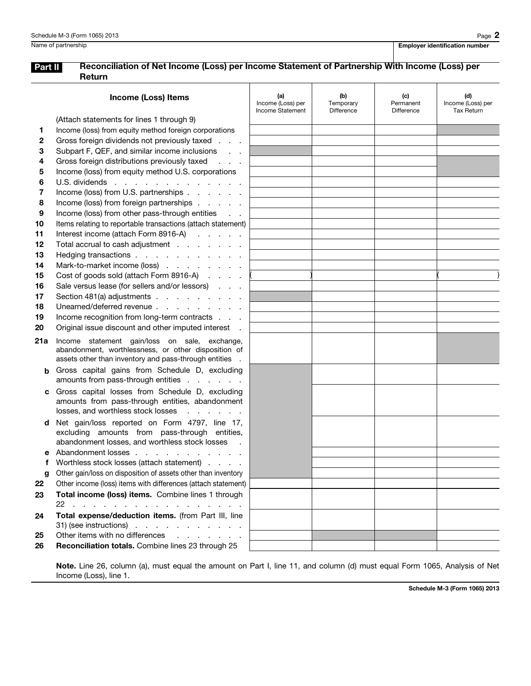## Part II Reconciliation of Net Income (Loss) per Income Statement of Partnership With Income (Loss) per Return

|     | <b>Income (Loss) Items</b>                                                                                | (a)<br>Income (Loss) per<br>Income Statement | (b)<br>Temporary<br><b>Difference</b> | (c)<br>Permanent<br>Difference | (d)<br>Income (Loss) per<br><b>Tax Return</b> |
|-----|-----------------------------------------------------------------------------------------------------------|----------------------------------------------|---------------------------------------|--------------------------------|-----------------------------------------------|
|     | (Attach statements for lines 1 through 9)                                                                 |                                              |                                       |                                |                                               |
| 1   | Income (loss) from equity method foreign corporations                                                     |                                              |                                       |                                |                                               |
| 2   | Gross foreign dividends not previously taxed<br>$\mathcal{L}^{\text{max}}$ and $\mathcal{L}^{\text{max}}$ |                                              |                                       |                                |                                               |
| 3   | Subpart F, QEF, and similar income inclusions                                                             |                                              |                                       |                                |                                               |
| 4   | Gross foreign distributions previously taxed                                                              |                                              |                                       |                                |                                               |
| 5   | Income (loss) from equity method U.S. corporations                                                        |                                              |                                       |                                |                                               |
| 6   | U.S. dividends                                                                                            |                                              |                                       |                                |                                               |
| 7   | Income (loss) from U.S. partnerships                                                                      |                                              |                                       |                                |                                               |
| 8   | Income (loss) from foreign partnerships                                                                   |                                              |                                       |                                |                                               |
| 9   | Income (loss) from other pass-through entities                                                            |                                              |                                       |                                |                                               |
| 10  | Items relating to reportable transactions (attach statement)                                              |                                              |                                       |                                |                                               |
| 11  | Interest income (attach Form 8916-A)                                                                      |                                              |                                       |                                |                                               |
| 12  | Total accrual to cash adjustment                                                                          |                                              |                                       |                                |                                               |
| 13  | Hedging transactions                                                                                      |                                              |                                       |                                |                                               |
| 14  | Mark-to-market income (loss)                                                                              |                                              |                                       |                                |                                               |
| 15  | Cost of goods sold (attach Form 8916-A)                                                                   |                                              |                                       |                                |                                               |
| 16  | Sale versus lease (for sellers and/or lessors)                                                            |                                              |                                       |                                |                                               |
| 17  | Section 481(a) adjustments                                                                                |                                              |                                       |                                |                                               |
| 18  | Unearned/deferred revenue                                                                                 |                                              |                                       |                                |                                               |
| 19  | Income recognition from long-term contracts                                                               |                                              |                                       |                                |                                               |
| 20  | Original issue discount and other imputed interest                                                        |                                              |                                       |                                |                                               |
|     |                                                                                                           |                                              |                                       |                                |                                               |
| 21a | Income statement gain/loss on sale, exchange,<br>abandonment, worthlessness, or other disposition of      |                                              |                                       |                                |                                               |
|     | assets other than inventory and pass-through entities                                                     |                                              |                                       |                                |                                               |
| b   | Gross capital gains from Schedule D, excluding                                                            |                                              |                                       |                                |                                               |
|     | amounts from pass-through entities                                                                        |                                              |                                       |                                |                                               |
| С   | Gross capital losses from Schedule D, excluding                                                           |                                              |                                       |                                |                                               |
|     | amounts from pass-through entities, abandonment                                                           |                                              |                                       |                                |                                               |
|     | losses, and worthless stock losses<br>and a state of the state                                            |                                              |                                       |                                |                                               |
| d   | Net gain/loss reported on Form 4797, line 17,                                                             |                                              |                                       |                                |                                               |
|     | excluding amounts from pass-through entities,                                                             |                                              |                                       |                                |                                               |
|     | abandonment losses, and worthless stock losses                                                            |                                              |                                       |                                |                                               |
|     | Abandonment losses                                                                                        |                                              |                                       |                                |                                               |
|     | Worthless stock losses (attach statement)                                                                 |                                              |                                       |                                |                                               |
| g   | Other gain/loss on disposition of assets other than inventory                                             |                                              |                                       |                                |                                               |
| 22  | Other income (loss) items with differences (attach statement)                                             |                                              |                                       |                                |                                               |
| 23  | Total income (loss) items. Combine lines 1 through<br>22                                                  |                                              |                                       |                                |                                               |
| 24  | Total expense/deduction items. (from Part III, line                                                       |                                              |                                       |                                |                                               |
|     | $31)$ (see instructions)                                                                                  |                                              |                                       |                                |                                               |
| 25  | Other items with no differences<br>and the contract of the contract of                                    |                                              |                                       |                                |                                               |
| 26  | Reconciliation totals. Combine lines 23 through 25                                                        |                                              |                                       |                                |                                               |
|     |                                                                                                           |                                              |                                       |                                |                                               |

Note. Line 26, column (a), must equal the amount on Part I, line 11, and column (d) must equal Form 1065, Analysis of Net Income (Loss), line 1.